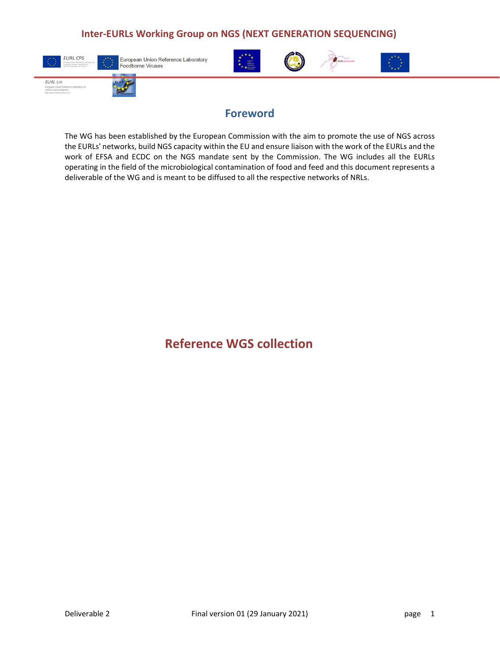

European Union Reference Laboratory Foodborne Viruses



## **Foreword**

 **<b>\* \* \* 11** 

The WG has been established by the European Commission with the aim to promote the use of NGS across the EURLs' networks, build NGS capacity within the EU and ensure liaison with the work of the EURLs and the work of EFSA and ECDC on the NGS mandate sent by the Commission. The WG includes all the EURLs operating in the field of the microbiological contamination of food and feed and this document represents a deliverable of the WG and is meant to be diffused to all the respective networks of NRLs.

# **Reference WGS collection**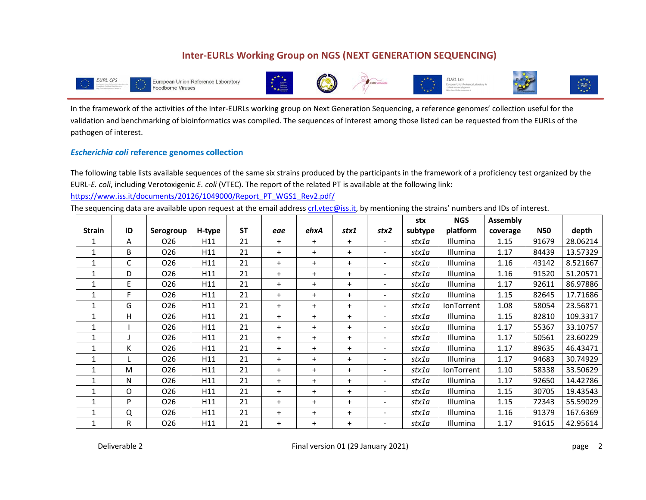

In the framework of the activities of the Inter‐EURLs working group on Next Generation Sequencing, a reference genomes' collection useful for the validation and benchmarking of bioinformatics was compiled. The sequences of interest among those listed can be requested from the EURLs of the pathogen of interest.

#### *Escherichia coli* **reference genomes collection**

The following table lists available sequences of the same six strains produced by the participants in the framework of a proficiency test organized by the EURL‐*E. coli*, including Verotoxigenic *E. coli* (VTEC). The report of the related PT is available at the following link: https://www.iss.it/documents/20126/1049000/Report\_PT\_WGS1\_Rev2.pdf/

The sequencing data are available upon request at the email address crl.vtec@iss.it, by mentioning the strains' numbers and IDs of interest.

|               |    |                 |        |           |      |           |      |                              | stx     | <b>NGS</b>        | <b>Assembly</b> |            |          |
|---------------|----|-----------------|--------|-----------|------|-----------|------|------------------------------|---------|-------------------|-----------------|------------|----------|
| <b>Strain</b> | ID | Serogroup       | H-type | <b>ST</b> | eae  | ehxA      | stx1 | stx2                         | subtype | platform          | coverage        | <b>N50</b> | depth    |
|               | A  | 026             | H11    | 21        | $+$  | $\ddot{}$ | $+$  |                              | stx1a   | Illumina          | 1.15            | 91679      | 28.06214 |
| 1             | B  | 026             | H11    | 21        | $+$  | $+$       | $+$  |                              | stx1a   | Illumina          | 1.17            | 84439      | 13.57329 |
| 1             | C  | 026             | H11    | 21        | $+$  | $+$       | $+$  |                              | stx1a   | Illumina          | 1.16            | 43142      | 8.521667 |
| 1             | D  | 026             | H11    | 21        | $+$  | $\ddot{}$ | $+$  |                              | stx1a   | <b>Illumina</b>   | 1.16            | 91520      | 51.20571 |
| 1             | E  | 026             | H11    | 21        | $+$  | $\ddot{}$ | $+$  | $\overline{\phantom{a}}$     | stx1a   | Illumina          | 1.17            | 92611      | 86.97886 |
| 1             | F  | 026             | H11    | 21        | $+$  | $+$       | $+$  |                              | stx1a   | Illumina          | 1.15            | 82645      | 17.71686 |
| 1             | G  | 026             | H11    | 21        | $+$  | $\ddot{}$ | $+$  |                              | stx1a   | <b>IonTorrent</b> | 1.08            | 58054      | 23.56871 |
| 1             | н  | O <sub>26</sub> | H11    | 21        | $+$  | $\ddot{}$ | $+$  |                              | stx1a   | Illumina          | 1.15            | 82810      | 109.3317 |
| $\mathbf{1}$  |    | O <sub>26</sub> | H11    | 21        | $+$  | $\ddot{}$ | $+$  |                              | stx1a   | Illumina          | 1.17            | 55367      | 33.10757 |
| 1             |    | 026             | H11    | 21        | $+$  | $\ddot{}$ | $+$  |                              | stx1a   | Illumina          | 1.17            | 50561      | 23.60229 |
| 1             | K  | 026             | H11    | 21        | $+$  | $\ddot{}$ | $+$  |                              | stx1a   | <b>Illumina</b>   | 1.17            | 89635      | 46.43471 |
| 1             |    | 026             | H11    | 21        | $+$  | $\ddot{}$ | $+$  |                              | stx1a   | Illumina          | 1.17            | 94683      | 30.74929 |
| 1             | M  | 026             | H11    | 21        | $+$  | $+$       | $+$  | $\qquad \qquad \blacksquare$ | stx1a   | IonTorrent        | 1.10            | 58338      | 33.50629 |
| 1             | N  | O <sub>26</sub> | H11    | 21        | $+$  | $+$       | $+$  |                              | stx1a   | Illumina          | 1.17            | 92650      | 14.42786 |
| 1             | O  | 026             | H11    | 21        | $+$  | $\ddot{}$ | $+$  |                              | stx1a   | Illumina          | 1.15            | 30705      | 19.43543 |
| 1             | P  | O <sub>26</sub> | H11    | 21        | $+$  | $+$       | $+$  |                              | stx1a   | Illumina          | 1.15            | 72343      | 55.59029 |
| 1             | Q  | 026             | H11    | 21        | $+$  | $\ddot{}$ | $+$  |                              | stx1a   | Illumina          | 1.16            | 91379      | 167.6369 |
| 1             | R  | 026             | H11    | 21        | $^+$ | $\pm$     | $^+$ | $\qquad \qquad \blacksquare$ | stx1a   | Illumina          | 1.17            | 91615      | 42.95614 |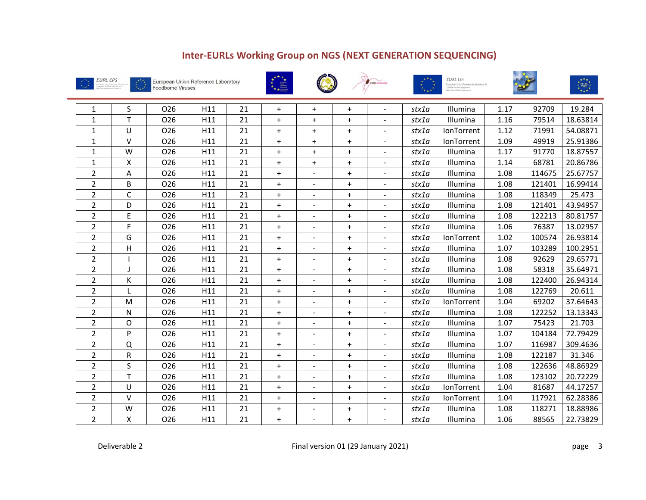











| 1              | S            | 026             | H11 | 21 | $+$ | $+$                      | $+$       |                          | stx1a | Illumina          | 1.17 | 92709  | 19.284   |
|----------------|--------------|-----------------|-----|----|-----|--------------------------|-----------|--------------------------|-------|-------------------|------|--------|----------|
| $\mathbf{1}$   | T            | O <sub>26</sub> | H11 | 21 | $+$ | $+$                      | $+$       | $\blacksquare$           | stx1a | Illumina          | 1.16 | 79514  | 18.63814 |
| $\mathbf{1}$   | U            | 026             | H11 | 21 | $+$ | $+$                      | $+$       |                          | stx1a | <b>IonTorrent</b> | 1.12 | 71991  | 54.08871 |
| $\mathbf{1}$   | v            | O <sub>26</sub> | H11 | 21 | $+$ | $+$                      | $+$       | $\overline{\phantom{a}}$ | stx1a | IonTorrent        | 1.09 | 49919  | 25.91386 |
| 1              | W            | 026             | H11 | 21 | $+$ | $+$                      | $+$       |                          | stx1a | Illumina          | 1.17 | 91770  | 18.87557 |
| $\mathbf{1}$   | x            | 026             | H11 | 21 | $+$ | $\ddot{}$                | $+$       | $\blacksquare$           | stx1a | Illumina          | 1.14 | 68781  | 20.86786 |
| $\overline{2}$ | А            | 026             | H11 | 21 | $+$ |                          | $+$       | $\sim$                   | stx1a | Illumina          | 1.08 | 114675 | 25.67757 |
| 2              | В            | O <sub>26</sub> | H11 | 21 | $+$ | $\sim$                   | $\ddot{}$ | $\sim$                   | stx1a | Illumina          | 1.08 | 121401 | 16.99414 |
| $\overline{2}$ | $\mathsf{C}$ | O <sub>26</sub> | H11 | 21 | $+$ |                          | $\ddot{}$ |                          | stx1a | Illumina          | 1.08 | 118349 | 25.473   |
| $\overline{2}$ | D            | O <sub>26</sub> | H11 | 21 | $+$ | $\blacksquare$           | $\ddot{}$ | $\blacksquare$           | stx1a | Illumina          | 1.08 | 121401 | 43.94957 |
| $\overline{2}$ | E            | 026             | H11 | 21 | $+$ |                          | $+$       | $\overline{\phantom{a}}$ | stx1a | Illumina          | 1.08 | 122213 | 80.81757 |
| $\overline{2}$ | F            | O <sub>26</sub> | H11 | 21 | $+$ | $\overline{\phantom{a}}$ | $+$       | $\overline{\phantom{a}}$ | stx1a | Illumina          | 1.06 | 76387  | 13.02957 |
| $\overline{2}$ | G            | 026             | H11 | 21 | $+$ |                          | $+$       | $\blacksquare$           | stx1a | <b>IonTorrent</b> | 1.02 | 100574 | 26.93814 |
| $\overline{2}$ | H            | 026             | H11 | 21 | $+$ | $\sim$                   | $\ddot{}$ | $\blacksquare$           | stx1a | Illumina          | 1.07 | 103289 | 100.2951 |
| 2              |              | 026             | H11 | 21 | $+$ |                          | $+$       | $\overline{\phantom{a}}$ | stx1a | Illumina          | 1.08 | 92629  | 29.65771 |
| 2              |              | 026             | H11 | 21 | $+$ |                          | $+$       | $\overline{\phantom{a}}$ | stx1a | Illumina          | 1.08 | 58318  | 35.64971 |
| $\overline{2}$ | К            | 026             | H11 | 21 | $+$ | $\blacksquare$           | $+$       | $\blacksquare$           | stx1a | Illumina          | 1.08 | 122400 | 26.94314 |
| $\overline{2}$ |              | 026             | H11 | 21 | $+$ | $\sim$                   | $\ddot{}$ | $\overline{\phantom{a}}$ | stx1a | Illumina          | 1.08 | 122769 | 20.611   |
| $\overline{2}$ | M            | 026             | H11 | 21 | $+$ |                          | $+$       | $\blacksquare$           | stx1a | IonTorrent        | 1.04 | 69202  | 37.64643 |
| $\overline{2}$ | N            | 026             | H11 | 21 | $+$ |                          | $+$       |                          | stx1a | Illumina          | 1.08 | 122252 | 13.13343 |
| $\overline{2}$ | O            | 026             | H11 | 21 | $+$ |                          | $+$       |                          | stx1a | Illumina          | 1.07 | 75423  | 21.703   |
| $\overline{2}$ | P            | 026             | H11 | 21 | $+$ |                          | $\ddot{}$ |                          | stx1a | Illumina          | 1.07 | 104184 | 72.79429 |
| 2              | Q            | 026             | H11 | 21 | $+$ |                          | $+$       | $\blacksquare$           | stx1a | Illumina          | 1.07 | 116987 | 309.4636 |
| 2              | ${\sf R}$    | 026             | H11 | 21 | $+$ |                          | $+$       |                          | stx1a | Illumina          | 1.08 | 122187 | 31.346   |
| $\overline{2}$ | S            | 026             | H11 | 21 | $+$ |                          | $\ddot{}$ |                          | stx1a | Illumina          | 1.08 | 122636 | 48.86929 |
| 2              | T.           | 026             | H11 | 21 | $+$ |                          | $+$       |                          | stx1a | Illumina          | 1.08 | 123102 | 20.72229 |
| 2              | U            | 026             | H11 | 21 | $+$ | $\sim$                   | $+$       | $\blacksquare$           | stx1a | <b>IonTorrent</b> | 1.04 | 81687  | 44.17257 |
| $\overline{2}$ | $\vee$       | 026             | H11 | 21 | $+$ |                          | $+$       | $\blacksquare$           | stx1a | IonTorrent        | 1.04 | 117921 | 62.28386 |
| 2              | W            | 026             | H11 | 21 | $+$ |                          | $\ddot{}$ | $\blacksquare$           | stx1a | Illumina          | 1.08 | 118271 | 18.88986 |
| $\overline{2}$ | Χ            | 026             | H11 | 21 | $+$ |                          | $+$       |                          | stx1a | Illumina          | 1.06 | 88565  | 22.73829 |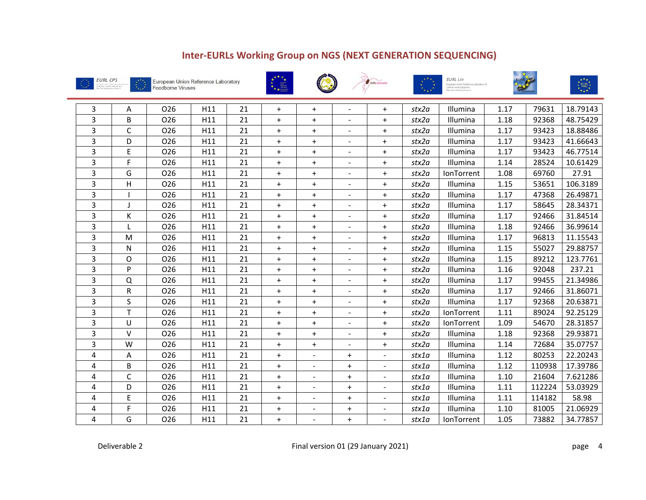











| 3 | Α           | O <sub>26</sub> | H11 | 21 | $+$       | $\ddot{}$      |                          | $+$            | stx2a | Illumina        | 1.17 | 79631  | 18.79143 |
|---|-------------|-----------------|-----|----|-----------|----------------|--------------------------|----------------|-------|-----------------|------|--------|----------|
| 3 | B           | 026             | H11 | 21 | $+$       | $+$            |                          | $+$            | stx2a | Illumina        | 1.18 | 92368  | 48.75429 |
| 3 | $\mathsf C$ | O <sub>26</sub> | H11 | 21 | $\pm$     | $\ddot{}$      |                          | $\ddot{}$      | stx2a | Illumina        | 1.17 | 93423  | 18.88486 |
| 3 | D           | 026             | H11 | 21 | $+$       | $\ddot{}$      | $\overline{\phantom{a}}$ | $+$            | stx2a | Illumina        | 1.17 | 93423  | 41.66643 |
| 3 | E           | 026             | H11 | 21 | $+$       | $+$            |                          | $+$            | stx2a | Illumina        | 1.17 | 93423  | 46.77514 |
| 3 | F           | 026             | H11 | 21 | $+$       | $+$            | $\blacksquare$           | $+$            | stx2a | Illumina        | 1.14 | 28524  | 10.61429 |
| 3 | G           | 026             | H11 | 21 | $+$       | $+$            |                          | $+$            | stx2a | IonTorrent      | 1.08 | 69760  | 27.91    |
| 3 | Н           | 026             | H11 | 21 | $+$       | $+$            |                          | $+$            | stx2a | Illumina        | 1.15 | 53651  | 106.3189 |
| 3 |             | O <sub>26</sub> | H11 | 21 | $+$       | $\ddot{}$      |                          | $+$            | stx2a | Illumina        | 1.17 | 47368  | 26.49871 |
| 3 |             | 026             | H11 | 21 | $+$       | $+$            | $\overline{\phantom{a}}$ | $+$            | stx2a | Illumina        | 1.17 | 58645  | 28.34371 |
| 3 | K           | O <sub>26</sub> | H11 | 21 | $+$       | $+$            |                          | $+$            | stx2a | <b>Illumina</b> | 1.17 | 92466  | 31.84514 |
| 3 |             | O <sub>26</sub> | H11 | 21 | $+$       | $+$            | $\blacksquare$           | $+$            | stx2a | Illumina        | 1.18 | 92466  | 36.99614 |
| 3 | M           | 026             | H11 | 21 | $+$       | $\ddot{}$      | $\overline{\phantom{a}}$ | $+$            | stx2a | Illumina        | 1.17 | 96813  | 11.15543 |
| 3 | N           | O <sub>26</sub> | H11 | 21 | $+$       | $+$            | $\blacksquare$           | $+$            | stx2a | Illumina        | 1.15 | 55027  | 29.88757 |
| 3 | O           | O <sub>26</sub> | H11 | 21 | $+$       | $\ddot{}$      |                          | $+$            | stx2a | Illumina        | 1.15 | 89212  | 123.7761 |
| 3 | P           | 026             | H11 | 21 | $+$       | $+$            |                          | $+$            | stx2a | Illumina        | 1.16 | 92048  | 237.21   |
| 3 | Q           | 026             | H11 | 21 | $+$       | $\ddot{}$      |                          | $+$            | stx2a | Illumina        | 1.17 | 99455  | 21.34986 |
| 3 | R           | 026             | H11 | 21 | $+$       | $+$            | $\overline{\phantom{a}}$ | $+$            | stx2a | Illumina        | 1.17 | 92466  | 31.86071 |
| 3 | S           | 026             | H11 | 21 | $+$       | $+$            | $\sim$                   | $+$            | stx2a | Illumina        | 1.17 | 92368  | 20.63871 |
| 3 | T           | 026             | H11 | 21 | $+$       | $\ddot{}$      |                          | $\ddot{}$      | stx2a | IonTorrent      | 1.11 | 89024  | 92.25129 |
| 3 | U           | O <sub>26</sub> | H11 | 21 | $+$       | $+$            |                          | $+$            | stx2a | IonTorrent      | 1.09 | 54670  | 28.31857 |
| 3 | $\vee$      | O <sub>26</sub> | H11 | 21 | $\ddot{}$ | $\ddot{}$      |                          | $+$            | stx2a | Illumina        | 1.18 | 92368  | 29.93871 |
| 3 | W           | 026             | H11 | 21 | $+$       | $+$            |                          | $+$            | stx2a | Illumina        | 1.14 | 72684  | 35.07757 |
| 4 | Α           | 026             | H11 | 21 | $+$       |                | $+$                      |                | stx1a | Illumina        | 1.12 | 80253  | 22.20243 |
| 4 | B           | O <sub>26</sub> | H11 | 21 | $+$       |                | $\ddot{}$                |                | stx1a | Illumina        | 1.12 | 110938 | 17.39786 |
| 4 | C           | 026             | H11 | 21 | $+$       |                | $+$                      |                | stx1a | Illumina        | 1.10 | 21604  | 7.621286 |
| 4 | D           | 026             | H11 | 21 | $+$       | $\blacksquare$ | $+$                      | $\blacksquare$ | stx1a | Illumina        | 1.11 | 112224 | 53.03929 |
| 4 | E           | 026             | H11 | 21 | $+$       |                | $+$                      |                | stx1a | Illumina        | 1.11 | 114182 | 58.98    |
| 4 | F           | 026             | H11 | 21 | $+$       | $\sim$         | $\ddot{}$                | $\sim$         | stx1a | Illumina        | 1.10 | 81005  | 21.06929 |
| 4 | G           | O <sub>26</sub> | H11 | 21 | $+$       |                | $+$                      |                | stx1a | IonTorrent      | 1.05 | 73882  | 34.77857 |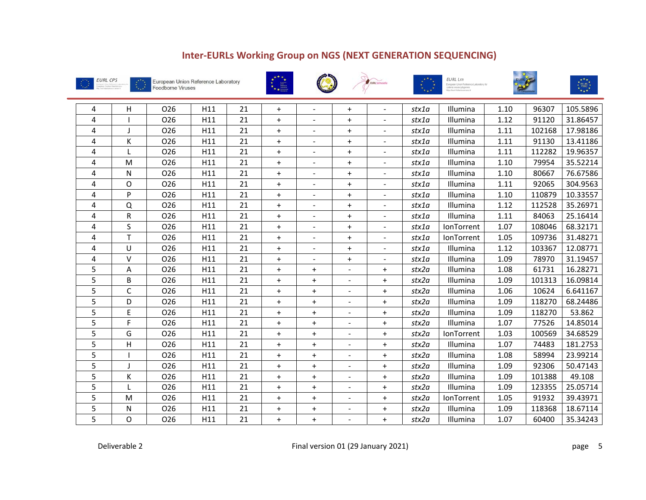











| 4 | H                         | O <sub>26</sub> | H11 | 21 | $+$ |                | $+$            |                          | stx1a | Illumina   | 1.10 | 96307  | 105.5896 |
|---|---------------------------|-----------------|-----|----|-----|----------------|----------------|--------------------------|-------|------------|------|--------|----------|
| 4 |                           | O <sub>26</sub> | H11 | 21 | $+$ | $\sim$         | $+$            | $\sim$                   | stx1a | Illumina   | 1.12 | 91120  | 31.86457 |
| 4 |                           | 026             | H11 | 21 | $+$ |                | $+$            | $\sim$                   | stx1a | Illumina   | 1.11 | 102168 | 17.98186 |
| 4 | К                         | O <sub>26</sub> | H11 | 21 | $+$ | $\blacksquare$ | $+$            | $\blacksquare$           | stx1a | Illumina   | 1.11 | 91130  | 13.41186 |
| 4 |                           | 026             | H11 | 21 | $+$ | $\blacksquare$ | $+$            | $\overline{\phantom{a}}$ | stx1a | Illumina   | 1.11 | 112282 | 19.96357 |
| 4 | M                         | 026             | H11 | 21 | $+$ | $\blacksquare$ | $+$            | $\blacksquare$           | stx1a | Illumina   | 1.10 | 79954  | 35.52214 |
| 4 | N                         | 026             | H11 | 21 | $+$ |                | $+$            | $\sim$                   | stx1a | Illumina   | 1.10 | 80667  | 76.67586 |
| 4 | O                         | 026             | H11 | 21 | $+$ |                | $+$            | $\blacksquare$           | stx1a | Illumina   | 1.11 | 92065  | 304.9563 |
| 4 | P                         | 026             | H11 | 21 | $+$ |                | $+$            |                          | stx1a | Illumina   | 1.10 | 110879 | 10.33557 |
| 4 | Q                         | 026             | H11 | 21 | $+$ | $\blacksquare$ | $+$            | $\overline{\phantom{a}}$ | stx1a | Illumina   | 1.12 | 112528 | 35.26971 |
| 4 | R                         | 026             | H11 | 21 | $+$ | $\sim$         | $+$            | $\sim$                   | stx1a | Illumina   | 1.11 | 84063  | 25.16414 |
| 4 | S                         | O <sub>26</sub> | H11 | 21 | $+$ |                | $+$            | $\blacksquare$           | stx1a | IonTorrent | 1.07 | 108046 | 68.32171 |
| 4 | T                         | 026             | H11 | 21 | $+$ | $\sim$         | $+$            | $\blacksquare$           | stx1a | IonTorrent | 1.05 | 109736 | 31.48271 |
| 4 | U                         | 026             | H11 | 21 | $+$ |                | $+$            | $\overline{\phantom{a}}$ | stx1a | Illumina   | 1.12 | 103367 | 12.08771 |
| 4 | $\vee$                    | 026             | H11 | 21 | $+$ | $\sim$         | $+$            | $\sim$                   | stx1a | Illumina   | 1.09 | 78970  | 31.19457 |
| 5 | Α                         | 026             | H11 | 21 | $+$ | $\ddot{}$      |                | $+$                      | stx2a | Illumina   | 1.08 | 61731  | 16.28271 |
| 5 | B                         | 026             | H11 | 21 | $+$ | $^+$           |                | $^+$                     | stx2a | Illumina   | 1.09 | 101313 | 16.09814 |
| 5 | $\mathsf C$               | 026             | H11 | 21 | $+$ | $\ddot{}$      |                | $^+$                     | stx2a | Illumina   | 1.06 | 10624  | 6.641167 |
| 5 | D                         | 026             | H11 | 21 | $+$ | $\ddot{}$      |                | $\ddot{}$                | stx2a | Illumina   | 1.09 | 118270 | 68.24486 |
| 5 | E                         | 026             | H11 | 21 | $+$ | $+$            |                | $+$                      | stx2a | Illumina   | 1.09 | 118270 | 53.862   |
| 5 | F.                        | 026             | H11 | 21 | $+$ | $+$            | $\blacksquare$ | $\ddot{}$                | stx2a | Illumina   | 1.07 | 77526  | 14.85014 |
| 5 | G                         | 026             | H11 | 21 | $+$ | $+$            |                | $+$                      | stx2a | IonTorrent | 1.03 | 100569 | 34.68529 |
| 5 | $\boldsymbol{\mathsf{H}}$ | 026             | H11 | 21 | $+$ | $+$            | $\blacksquare$ | $+$                      | stx2a | Illumina   | 1.07 | 74483  | 181.2753 |
| 5 |                           | 026             | H11 | 21 | $+$ | $+$            |                | $+$                      | stx2a | Illumina   | 1.08 | 58994  | 23.99214 |
| 5 |                           | 026             | H11 | 21 | $+$ | $+$            | $\blacksquare$ | $+$                      | stx2a | Illumina   | 1.09 | 92306  | 50.47143 |
| 5 | К                         | 026             | H11 | 21 | $+$ | $+$            | $\sim$         | $+$                      | stx2a | Illumina   | 1.09 | 101388 | 49.108   |
| 5 |                           | 026             | H11 | 21 | $+$ | $+$            | $\blacksquare$ | $+$                      | stx2a | Illumina   | 1.09 | 123355 | 25.05714 |
| 5 | M                         | 026             | H11 | 21 | $+$ | $+$            |                | $+$                      | stx2a | IonTorrent | 1.05 | 91932  | 39.43971 |
| 5 | N                         | 026             | H11 | 21 | $+$ | $+$            |                | $+$                      | stx2a | Illumina   | 1.09 | 118368 | 18.67114 |
| 5 | O                         | 026             | H11 | 21 | $+$ | $+$            |                | $+$                      | stx2a | Illumina   | 1.07 | 60400  | 35.34243 |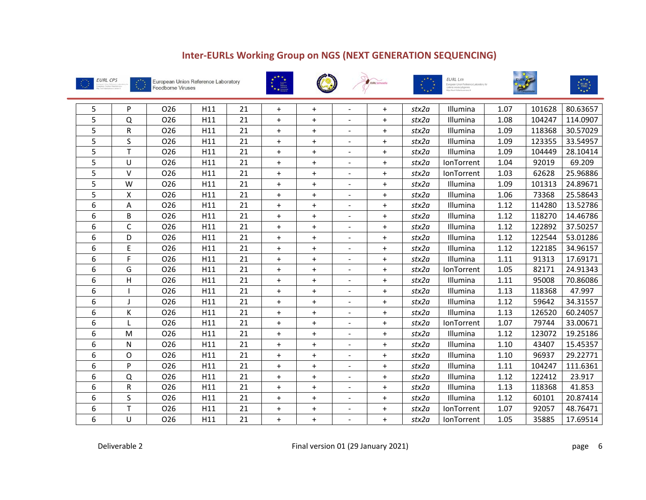











| 5 | P            | 026             | H11 | 21 | $+$       | $+$       |                          | $+$       | stx2a | Illumina   | 1.07 | 101628 | 80.63657 |
|---|--------------|-----------------|-----|----|-----------|-----------|--------------------------|-----------|-------|------------|------|--------|----------|
| 5 | Q            | 026             | H11 | 21 | $+$       | $\ddot{}$ |                          | $+$       | stx2a | Illumina   | 1.08 | 104247 | 114.0907 |
| 5 | R            | 026             | H11 | 21 | $+$       | $+$       |                          | $+$       | stx2a | Illumina   | 1.09 | 118368 | 30.57029 |
| 5 | S            | 026             | H11 | 21 | $+$       | $+$       | $\blacksquare$           | $+$       | stx2a | Illumina   | 1.09 | 123355 | 33.54957 |
| 5 | T            | O <sub>26</sub> | H11 | 21 | $+$       | $\ddot{}$ |                          | $+$       | stx2a | Illumina   | 1.09 | 104449 | 28.10414 |
| 5 | U            | 026             | H11 | 21 | $+$       | $+$       | $\blacksquare$           | $+$       | stx2a | IonTorrent | 1.04 | 92019  | 69.209   |
| 5 | $\vee$       | 026             | H11 | 21 | $+$       | $+$       |                          | $+$       | stx2a | IonTorrent | 1.03 | 62628  | 25.96886 |
| 5 | W            | 026             | H11 | 21 | $\ddot{}$ | $+$       | $\blacksquare$           | $+$       | stx2a | Illumina   | 1.09 | 101313 | 24.89671 |
| 5 | Χ            | 026             | H11 | 21 | $+$       | $+$       |                          | $+$       | stx2a | Illumina   | 1.06 | 73368  | 25.58643 |
| 6 | Α            | 026             | H11 | 21 | $+$       | $+$       | $\overline{\phantom{a}}$ | $+$       | stx2a | Illumina   | 1.12 | 114280 | 13.52786 |
| 6 | B            | O <sub>26</sub> | H11 | 21 | $+$       | $\ddot{}$ | $\blacksquare$           | $+$       | stx2a | Illumina   | 1.12 | 118270 | 14.46786 |
| 6 | $\mathsf C$  | O <sub>26</sub> | H11 | 21 | $+$       | $+$       |                          | $\ddot{}$ | stx2a | Illumina   | 1.12 | 122892 | 37.50257 |
| 6 | D            | 026             | H11 | 21 | $+$       | $\ddot{}$ |                          | $+$       | stx2a | Illumina   | 1.12 | 122544 | 53.01286 |
| 6 | E            | 026             | H11 | 21 | $+$       | $+$       |                          | $+$       | stx2a | Illumina   | 1.12 | 122185 | 34.96157 |
| 6 | F            | O <sub>26</sub> | H11 | 21 | $+$       | $\ddot{}$ |                          | $+$       | stx2a | Illumina   | 1.11 | 91313  | 17.69171 |
| 6 | G            | 026             | H11 | 21 | $\ddot{}$ | $\ddot{}$ |                          | $\ddot{}$ | stx2a | IonTorrent | 1.05 | 82171  | 24.91343 |
| 6 | $\mathsf{H}$ | 026             | H11 | 21 | $\ddot{}$ | $\ddot{}$ |                          | $\ddot{}$ | stx2a | Illumina   | 1.11 | 95008  | 70.86086 |
| 6 |              | 026             | H11 | 21 | $+$       | $+$       |                          | $+$       | stx2a | Illumina   | 1.13 | 118368 | 47.997   |
| 6 |              | 026             | H11 | 21 | $+$       | $+$       |                          | $+$       | stx2a | Illumina   | 1.12 | 59642  | 34.31557 |
| 6 | К            | 026             | H11 | 21 | $+$       | $+$       |                          | $+$       | stx2a | Illumina   | 1.13 | 126520 | 60.24057 |
| 6 |              | 026             | H11 | 21 | $+$       | $+$       |                          | $+$       | stx2a | IonTorrent | 1.07 | 79744  | 33.00671 |
| 6 | M            | 026             | H11 | 21 | $+$       | $+$       |                          | $+$       | stx2a | Illumina   | 1.12 | 123072 | 19.25186 |
| 6 | N            | 026             | H11 | 21 | $+$       | $+$       | $\overline{\phantom{a}}$ | $+$       | stx2a | Illumina   | 1.10 | 43407  | 15.45357 |
| 6 | O            | O <sub>26</sub> | H11 | 21 | $+$       | $+$       |                          | $+$       | stx2a | Illumina   | 1.10 | 96937  | 29.22771 |
| 6 | P            | 026             | H11 | 21 | $+$       | $+$       | $\sim$                   | $\ddot{}$ | stx2a | Illumina   | 1.11 | 104247 | 111.6361 |
| 6 | Q            | O <sub>26</sub> | H11 | 21 | $+$       | $+$       |                          | $+$       | stx2a | Illumina   | 1.12 | 122412 | 23.917   |
| 6 | R            | 026             | H11 | 21 | $+$       | $+$       | $\blacksquare$           | $+$       | stx2a | Illumina   | 1.13 | 118368 | 41.853   |
| 6 | S            | 026             | H11 | 21 | $+$       | $+$       | $\overline{\phantom{a}}$ | $+$       | stx2a | Illumina   | 1.12 | 60101  | 20.87414 |
| 6 | T            | 026             | H11 | 21 | $+$       | $+$       | $\overline{\phantom{a}}$ | $+$       | stx2a | IonTorrent | 1.07 | 92057  | 48.76471 |
| 6 | U            | 026             | H11 | 21 | $+$       | $+$       |                          | $+$       | stx2a | IonTorrent | 1.05 | 35885  | 17.69514 |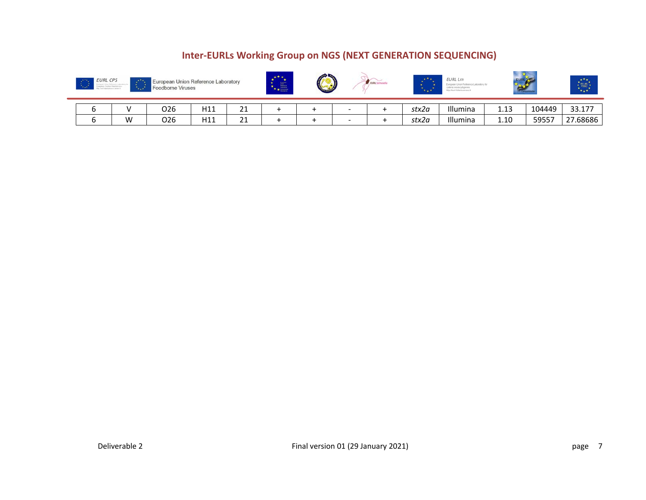| <b>EURL CPS</b><br>$\rightarrow$ | $\mathcal{F}^{\mathcal{A},\mathcal{B}}$<br>$\mathcal{F}_{\mathbf{a},\mathbf{a},\mathbf{a}}$ | European Union Reference Laboratory<br><b>Foodborne Viruses</b> |     |         | ***<br>冨<br>$*$ $*$ $*$ | $\rightarrow$ |        | <b>7. LURL Salmons</b> | <b>SALE</b> | <b>EURL Lm</b> |      |        | $+7+$<br><b>EU-RL</b><br>$* + *$ |
|----------------------------------|---------------------------------------------------------------------------------------------|-----------------------------------------------------------------|-----|---------|-------------------------|---------------|--------|------------------------|-------------|----------------|------|--------|----------------------------------|
|                                  |                                                                                             | 026                                                             | H11 | ገ1<br>ᅀ |                         |               | -      |                        | stx2a       | Illumina       | 1.13 | 104449 | 33.177                           |
|                                  | W                                                                                           | O <sub>26</sub>                                                 | H11 | 21      |                         |               | $\sim$ |                        | stx2a       | Illumina       | 1.10 | 59557  | 27.68686                         |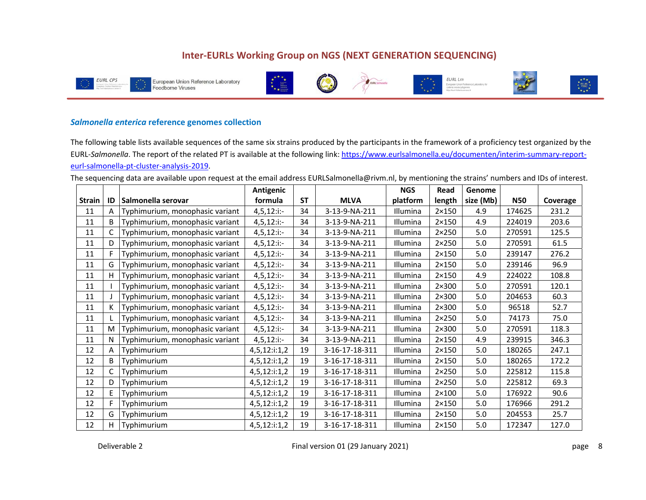











#### *Salmonella enterica* **reference genomes collection**

The following table lists available sequences of the same six strains produced by the participants in the framework of a proficiency test organized by the EURL‐*Salmonella*. The report of the related PT is available at the following link: https://www.eurlsalmonella.eu/documenten/interim‐summary‐report‐ eurl‐salmonella‐pt‐cluster‐analysis‐2019.

The sequencing data are available upon request at the email address EURLSalmonella@rivm.nl, by mentioning the strains' numbers and IDs of interest.

|               |    |                                 | Antigenic       |           |                | <b>NGS</b> | Read           | Genome    |            |          |
|---------------|----|---------------------------------|-----------------|-----------|----------------|------------|----------------|-----------|------------|----------|
| <b>Strain</b> | ID | Salmonella serovar              | formula         | <b>ST</b> | <b>MLVA</b>    | platform   | length         | size (Mb) | <b>N50</b> | Coverage |
| 11            | A  | Typhimurium, monophasic variant | $4,5,12$ :i:-   | 34        | 3-13-9-NA-211  | Illumina   | $2\times150$   | 4.9       | 174625     | 231.2    |
| 11            | B  | Typhimurium, monophasic variant | $4,5,12$ :i:-   | 34        | 3-13-9-NA-211  | Illumina   | $2\times150$   | 4.9       | 224019     | 203.6    |
| 11            | C  | Typhimurium, monophasic variant | $4,5,12$ :i:-   | 34        | 3-13-9-NA-211  | Illumina   | $2\times250$   | 5.0       | 270591     | 125.5    |
| 11            | D  | Typhimurium, monophasic variant | $4,5,12$ :i:-   | 34        | 3-13-9-NA-211  | Illumina   | $2 \times 250$ | 5.0       | 270591     | 61.5     |
| 11            | F  | Typhimurium, monophasic variant | $4,5,12$ :i:-   | 34        | 3-13-9-NA-211  | Illumina   | $2\times150$   | 5.0       | 239147     | 276.2    |
| 11            | G  | Typhimurium, monophasic variant | $4,5,12$ :i:-   | 34        | 3-13-9-NA-211  | Illumina   | $2\times150$   | 5.0       | 239146     | 96.9     |
| 11            | Н  | Typhimurium, monophasic variant | $4,5,12$ :i:-   | 34        | 3-13-9-NA-211  | Illumina   | $2\times150$   | 4.9       | 224022     | 108.8    |
| 11            |    | Typhimurium, monophasic variant | $4,5,12$ :i:-   | 34        | 3-13-9-NA-211  | Illumina   | $2\times300$   | 5.0       | 270591     | 120.1    |
| 11            |    | Typhimurium, monophasic variant | $4,5,12$ :i:-   | 34        | 3-13-9-NA-211  | Illumina   | $2\times300$   | 5.0       | 204653     | 60.3     |
| 11            | K  | Typhimurium, monophasic variant | $4,5,12$ :i:-   | 34        | 3-13-9-NA-211  | Illumina   | $2\times300$   | 5.0       | 96518      | 52.7     |
| 11            |    | Typhimurium, monophasic variant | $4,5,12$ :i:-   | 34        | 3-13-9-NA-211  | Illumina   | $2\times250$   | 5.0       | 74173      | 75.0     |
| 11            | M  | Typhimurium, monophasic variant | $4,5,12$ :i:-   | 34        | 3-13-9-NA-211  | Illumina   | $2\times300$   | 5.0       | 270591     | 118.3    |
| 11            | N  | Typhimurium, monophasic variant | $4,5,12$ :i:-   | 34        | 3-13-9-NA-211  | Illumina   | $2\times150$   | 4.9       | 239915     | 346.3    |
| 12            | A  | Typhimurium                     | 4,5,12:i:1,2    | 19        | 3-16-17-18-311 | Illumina   | $2\times150$   | 5.0       | 180265     | 247.1    |
| 12            | B  | Typhimurium                     | 4,5,12:i:1,2    | 19        | 3-16-17-18-311 | Illumina   | $2\times150$   | 5.0       | 180265     | 172.2    |
| 12            | C  | Typhimurium                     | 4,5,12:i:1,2    | 19        | 3-16-17-18-311 | Illumina   | $2\times250$   | 5.0       | 225812     | 115.8    |
| 12            | D  | Typhimurium                     | $4,5,12$ :i:1,2 | 19        | 3-16-17-18-311 | Illumina   | $2 \times 250$ | 5.0       | 225812     | 69.3     |
| 12            | E  | Typhimurium                     | 4,5,12:i:1,2    | 19        | 3-16-17-18-311 | Illumina   | $2\times100$   | 5.0       | 176922     | 90.6     |
| 12            | F  | Typhimurium                     | 4,5,12:i:1,2    | 19        | 3-16-17-18-311 | Illumina   | $2\times150$   | 5.0       | 176966     | 291.2    |
| 12            | G  | Typhimurium                     | $4,5,12$ :i:1,2 | 19        | 3-16-17-18-311 | Illumina   | $2\times150$   | 5.0       | 204553     | 25.7     |
| 12            | H  | Typhimurium                     | $4,5,12$ :i:1,2 | 19        | 3-16-17-18-311 | Illumina   | $2\times150$   | 5.0       | 172347     | 127.0    |

Deliverable 2 **Example 2 Properties 2 Final version 01 (29 January 2021) Page 2 8 page 8**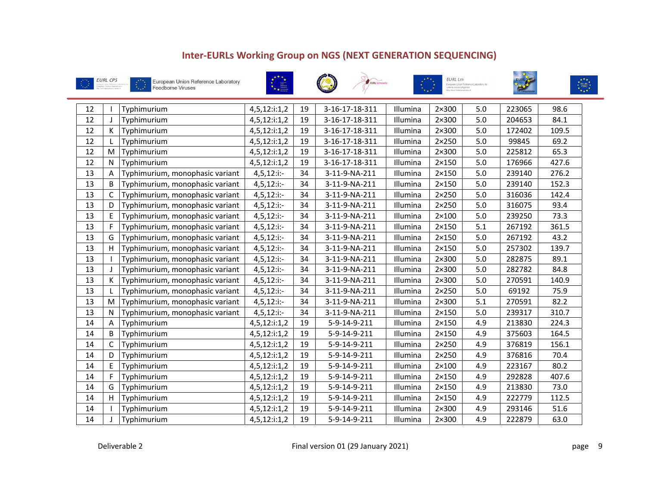









| 12 |              | Typhimurium                     | 4,5,12:i:1,2    | 19 | 3-16-17-18-311 | Illumina | $2\times300$   | 5.0     | 223065 | 98.6  |
|----|--------------|---------------------------------|-----------------|----|----------------|----------|----------------|---------|--------|-------|
| 12 | J            | Typhimurium                     | $4,5,12$ :i:1,2 | 19 | 3-16-17-18-311 | Illumina | $2\times300$   | 5.0     | 204653 | 84.1  |
| 12 | К            | Typhimurium                     | 4,5,12:i:1,2    | 19 | 3-16-17-18-311 | Illumina | $2\times300$   | 5.0     | 172402 | 109.5 |
| 12 | L            | Typhimurium                     | $4,5,12$ :i:1,2 | 19 | 3-16-17-18-311 | Illumina | $2 \times 250$ | 5.0     | 99845  | 69.2  |
| 12 | M            | Typhimurium                     | 4,5,12:i:1,2    | 19 | 3-16-17-18-311 | Illumina | $2\times300$   | 5.0     | 225812 | 65.3  |
| 12 | N            | Typhimurium                     | $4,5,12$ :i:1,2 | 19 | 3-16-17-18-311 | Illumina | $2\times150$   | 5.0     | 176966 | 427.6 |
| 13 | A            | Typhimurium, monophasic variant | $4,5,12$ :i:-   | 34 | 3-11-9-NA-211  | Illumina | $2 \times 150$ | 5.0     | 239140 | 276.2 |
| 13 | B            | Typhimurium, monophasic variant | $4,5,12$ :i:-   | 34 | 3-11-9-NA-211  | Illumina | $2 \times 150$ | 5.0     | 239140 | 152.3 |
| 13 | $\mathsf{C}$ | Typhimurium, monophasic variant | $4,5,12$ :i:-   | 34 | 3-11-9-NA-211  | Illumina | $2 \times 250$ | 5.0     | 316036 | 142.4 |
| 13 | D            | Typhimurium, monophasic variant | $4,5,12$ :i:-   | 34 | 3-11-9-NA-211  | Illumina | $2 \times 250$ | 5.0     | 316075 | 93.4  |
| 13 | E            | Typhimurium, monophasic variant | $4,5,12$ :i:-   | 34 | 3-11-9-NA-211  | Illumina | $2\times100$   | 5.0     | 239250 | 73.3  |
| 13 | F            | Typhimurium, monophasic variant | $4,5,12$ :i:-   | 34 | 3-11-9-NA-211  | Illumina | $2 \times 150$ | 5.1     | 267192 | 361.5 |
| 13 | G            | Typhimurium, monophasic variant | $4,5,12$ :i:-   | 34 | 3-11-9-NA-211  | Illumina | $2 \times 150$ | 5.0     | 267192 | 43.2  |
| 13 | H            | Typhimurium, monophasic variant | $4,5,12$ :i:-   | 34 | 3-11-9-NA-211  | Illumina | $2\times150$   | $5.0$   | 257302 | 139.7 |
| 13 |              | Typhimurium, monophasic variant | $4,5,12$ :i:-   | 34 | 3-11-9-NA-211  | Illumina | $2\times300$   | 5.0     | 282875 | 89.1  |
| 13 | J            | Typhimurium, monophasic variant | $4,5,12$ :i:-   | 34 | 3-11-9-NA-211  | Illumina | $2\times300$   | 5.0     | 282782 | 84.8  |
| 13 | К            | Typhimurium, monophasic variant | $4,5,12$ :i:-   | 34 | 3-11-9-NA-211  | Illumina | 2×300          | 5.0     | 270591 | 140.9 |
| 13 | L            | Typhimurium, monophasic variant | $4,5,12$ :i:-   | 34 | 3-11-9-NA-211  | Illumina | $2 \times 250$ | $5.0\,$ | 69192  | 75.9  |
| 13 | M            | Typhimurium, monophasic variant | $4,5,12$ :i:-   | 34 | 3-11-9-NA-211  | Illumina | $2\times300$   | 5.1     | 270591 | 82.2  |
| 13 | N            | Typhimurium, monophasic variant | $4,5,12$ :i:-   | 34 | 3-11-9-NA-211  | Illumina | $2\times150$   | 5.0     | 239317 | 310.7 |
| 14 | A            | Typhimurium                     | 4,5,12:i:1,2    | 19 | 5-9-14-9-211   | Illumina | $2\times150$   | 4.9     | 213830 | 224.3 |
| 14 | B            | Typhimurium                     | 4,5,12:i:1,2    | 19 | 5-9-14-9-211   | Illumina | $2\times150$   | 4.9     | 375603 | 164.5 |
| 14 | C            | Typhimurium                     | $4,5,12$ :i:1,2 | 19 | 5-9-14-9-211   | Illumina | $2 \times 250$ | 4.9     | 376819 | 156.1 |
| 14 | D            | Typhimurium                     | $4,5,12$ :i:1,2 | 19 | 5-9-14-9-211   | Illumina | $2 \times 250$ | 4.9     | 376816 | 70.4  |
| 14 | E            | Typhimurium                     | $4,5,12$ :i:1,2 | 19 | 5-9-14-9-211   | Illumina | $2\times100$   | 4.9     | 223167 | 80.2  |
| 14 | F            | Typhimurium                     | 4,5,12:i:1,2    | 19 | 5-9-14-9-211   | Illumina | $2 \times 150$ | 4.9     | 292828 | 407.6 |
| 14 | G            | Typhimurium                     | $4,5,12$ :i:1,2 | 19 | 5-9-14-9-211   | Illumina | $2 \times 150$ | 4.9     | 213830 | 73.0  |
| 14 | H            | Typhimurium                     | 4,5,12:i:1,2    | 19 | 5-9-14-9-211   | Illumina | $2 \times 150$ | 4.9     | 222779 | 112.5 |
| 14 |              | Typhimurium                     | $4,5,12$ :i:1,2 | 19 | 5-9-14-9-211   | Illumina | 2×300          | 4.9     | 293146 | 51.6  |
| 14 | J            | Typhimurium                     | $4,5,12$ :i:1,2 | 19 | 5-9-14-9-211   | Illumina | $2\times300$   | 4.9     | 222879 | 63.0  |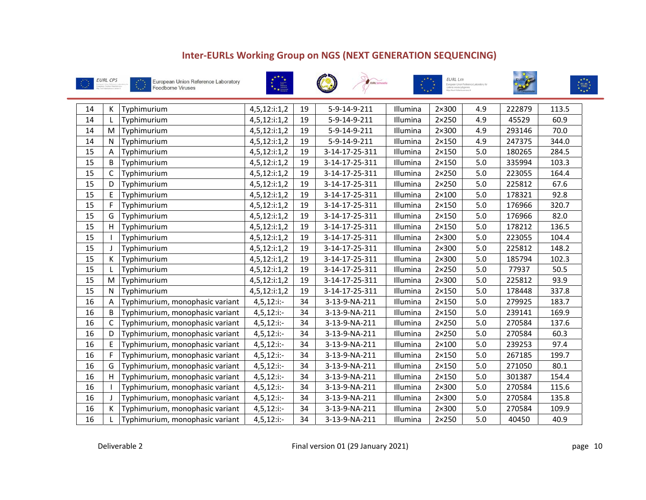









| 14 | К            | Typhimurium                     | 4,5,12:i:1,2    | 19 | 5-9-14-9-211   | Illumina | $2\times300$   | 4.9 | 222879 | 113.5 |
|----|--------------|---------------------------------|-----------------|----|----------------|----------|----------------|-----|--------|-------|
| 14 | L            | Typhimurium                     | $4,5,12$ :i:1,2 | 19 | 5-9-14-9-211   | Illumina | $2 \times 250$ | 4.9 | 45529  | 60.9  |
| 14 | M            | Typhimurium                     | 4,5,12:i:1,2    | 19 | 5-9-14-9-211   | Illumina | $2\times300$   | 4.9 | 293146 | 70.0  |
| 14 | N            | Typhimurium                     | 4,5,12:i:1,2    | 19 | 5-9-14-9-211   | Illumina | $2\times150$   | 4.9 | 247375 | 344.0 |
| 15 | A            | Typhimurium                     | 4,5,12:i:1,2    | 19 | 3-14-17-25-311 | Illumina | $2\times150$   | 5.0 | 180265 | 284.5 |
| 15 | B            | Typhimurium                     | 4,5,12:i:1,2    | 19 | 3-14-17-25-311 | Illumina | $2 \times 150$ | 5.0 | 335994 | 103.3 |
| 15 | $\mathsf{C}$ | Typhimurium                     | 4,5,12:i:1,2    | 19 | 3-14-17-25-311 | Illumina | $2 \times 250$ | 5.0 | 223055 | 164.4 |
| 15 | D            | Typhimurium                     | 4,5,12:i:1,2    | 19 | 3-14-17-25-311 | Illumina | $2 \times 250$ | 5.0 | 225812 | 67.6  |
| 15 | E            | Typhimurium                     | $4,5,12$ :i:1,2 | 19 | 3-14-17-25-311 | Illumina | $2\times100$   | 5.0 | 178321 | 92.8  |
| 15 | $\mathsf F$  | Typhimurium                     | 4,5,12:i:1,2    | 19 | 3-14-17-25-311 | Illumina | $2 \times 150$ | 5.0 | 176966 | 320.7 |
| 15 | G            | Typhimurium                     | 4,5,12:i:1,2    | 19 | 3-14-17-25-311 | Illumina | $2\times150$   | 5.0 | 176966 | 82.0  |
| 15 | H            | Typhimurium                     | 4,5,12:i:1,2    | 19 | 3-14-17-25-311 | Illumina | $2\times150$   | 5.0 | 178212 | 136.5 |
| 15 |              | Typhimurium                     | 4,5,12:i:1,2    | 19 | 3-14-17-25-311 | Illumina | $2\times300$   | 5.0 | 223055 | 104.4 |
| 15 | J            | Typhimurium                     | 4,5,12:i:1,2    | 19 | 3-14-17-25-311 | Illumina | $2\times300$   | 5.0 | 225812 | 148.2 |
| 15 | К            | Typhimurium                     | 4,5,12:i:1,2    | 19 | 3-14-17-25-311 | Illumina | $2\times300$   | 5.0 | 185794 | 102.3 |
| 15 |              | Typhimurium                     | 4,5,12:i:1,2    | 19 | 3-14-17-25-311 | Illumina | $2 \times 250$ | 5.0 | 77937  | 50.5  |
| 15 | M            | Typhimurium                     | 4,5,12:i:1,2    | 19 | 3-14-17-25-311 | Illumina | $2\times300$   | 5.0 | 225812 | 93.9  |
| 15 | $\mathsf{N}$ | Typhimurium                     | $4,5,12$ :i:1,2 | 19 | 3-14-17-25-311 | Illumina | $2\times150$   | 5.0 | 178448 | 337.8 |
| 16 | A            | Typhimurium, monophasic variant | $4,5,12$ :i:-   | 34 | 3-13-9-NA-211  | Illumina | $2 \times 150$ | 5.0 | 279925 | 183.7 |
| 16 | B            | Typhimurium, monophasic variant | $4,5,12$ :i:-   | 34 | 3-13-9-NA-211  | Illumina | $2\times150$   | 5.0 | 239141 | 169.9 |
| 16 | C            | Typhimurium, monophasic variant | $4,5,12$ :i:-   | 34 | 3-13-9-NA-211  | Illumina | 2×250          | 5.0 | 270584 | 137.6 |
| 16 | D            | Typhimurium, monophasic variant | $4,5,12$ :i:-   | 34 | 3-13-9-NA-211  | Illumina | $2 \times 250$ | 5.0 | 270584 | 60.3  |
| 16 | E            | Typhimurium, monophasic variant | $4,5,12$ :i:-   | 34 | 3-13-9-NA-211  | Illumina | $2\times100$   | 5.0 | 239253 | 97.4  |
| 16 | F            | Typhimurium, monophasic variant | $4,5,12$ :i:-   | 34 | 3-13-9-NA-211  | Illumina | $2\times150$   | 5.0 | 267185 | 199.7 |
| 16 | G            | Typhimurium, monophasic variant | $4,5,12$ :i:-   | 34 | 3-13-9-NA-211  | Illumina | $2 \times 150$ | 5.0 | 271050 | 80.1  |
| 16 | H            | Typhimurium, monophasic variant | $4,5,12$ :i:-   | 34 | 3-13-9-NA-211  | Illumina | $2\times150$   | 5.0 | 301387 | 154.4 |
| 16 |              | Typhimurium, monophasic variant | $4,5,12$ :i:-   | 34 | 3-13-9-NA-211  | Illumina | $2\times300$   | 5.0 | 270584 | 115.6 |
| 16 | J            | Typhimurium, monophasic variant | $4,5,12$ :i:-   | 34 | 3-13-9-NA-211  | Illumina | $2\times300$   | 5.0 | 270584 | 135.8 |
| 16 | K            | Typhimurium, monophasic variant | $4,5,12$ :i:-   | 34 | 3-13-9-NA-211  | Illumina | $2\times300$   | 5.0 | 270584 | 109.9 |
| 16 |              | Typhimurium, monophasic variant | $4,5,12$ :i:-   | 34 | 3-13-9-NA-211  | Illumina | $2 \times 250$ | 5.0 | 40450  | 40.9  |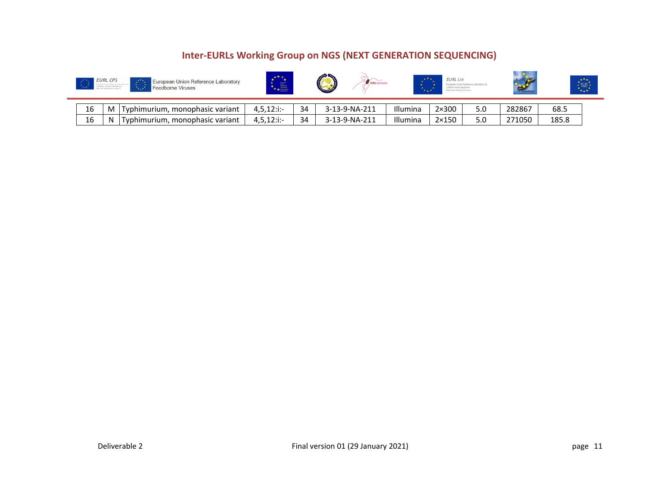|    | <b>EURL CPS</b> | $\mathcal{A}$ , $\mathcal{B}$<br>European Union Reference Laboratory<br>Foodborne Viruses | ***<br>三<br>**== |    | æп            | $x + x$<br>. | <b>EURL Lm</b> |     |        |       | <br>EU-RL<br> |
|----|-----------------|-------------------------------------------------------------------------------------------|------------------|----|---------------|--------------|----------------|-----|--------|-------|---------------|
| 16 | M               | Typhimurium, monophasic variant                                                           | $4.5.12$ :i:-    | 34 | 3-13-9-NA-211 | Illumina     | $2\times300$   | 5.0 | 282867 | 68.5  |               |
| 16 | N               | Typhimurium, monophasic variant                                                           | $4,5,12$ :i:-    | 34 | 3-13-9-NA-211 | Illumina     | $2\times150$   | 5.0 | 271050 | 185.8 |               |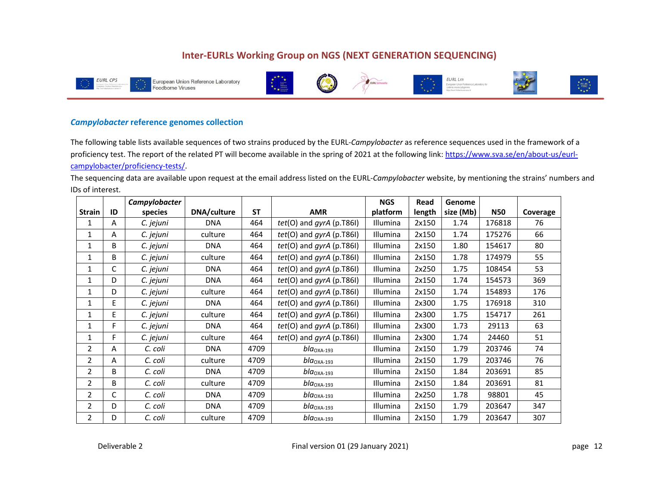









#### *Campylobacter* **reference genomes collection**

The following table lists available sequences of two strains produced by the EURL‐*Campylobacter* as reference sequences used in the framework of a proficiency test. The report of the related PT will become available in the spring of 2021 at the following link: https://www.sva.se/en/about-us/eurlcampylobacter/proficiency‐tests/.

The sequencing data are available upon request at the email address listed on the EURL‐*Campylobacter* website, by mentioning the strains' numbers and IDs of interest.

|                |    | Campylobacter |             |           |                              | <b>NGS</b> | Read   | Genome    |            |          |
|----------------|----|---------------|-------------|-----------|------------------------------|------------|--------|-----------|------------|----------|
| <b>Strain</b>  | ID | species       | DNA/culture | <b>ST</b> | <b>AMR</b>                   | platform   | length | size (Mb) | <b>N50</b> | Coverage |
| 1              | A  | C. jejuni     | <b>DNA</b>  | 464       | tet(O) and gyrA (p.T86I)     | Illumina   | 2x150  | 1.74      | 176818     | 76       |
| 1              | Α  | C. jejuni     | culture     | 464       | $tet(O)$ and $gyrA$ (p.T86I) | Illumina   | 2x150  | 1.74      | 175276     | 66       |
| $\mathbf{1}$   | B  | C. jejuni     | <b>DNA</b>  | 464       | tet(O) and gyrA (p.T86I)     | Illumina   | 2x150  | 1.80      | 154617     | 80       |
| $\mathbf{1}$   | B  | C. jejuni     | culture     | 464       | $tet(O)$ and $gyrA$ (p.T86I) | Illumina   | 2x150  | 1.78      | 174979     | 55       |
| $\mathbf{1}$   | C  | C. jejuni     | <b>DNA</b>  | 464       | $tet(O)$ and $gyrA$ (p.T86I) | Illumina   | 2x250  | 1.75      | 108454     | 53       |
| 1              | D  | C. jejuni     | <b>DNA</b>  | 464       | $tet(O)$ and $gyrA$ (p.T86I) | Illumina   | 2x150  | 1.74      | 154573     | 369      |
| 1              | D  | C. jejuni     | culture     | 464       | $tet(O)$ and $gyrA$ (p.T86I) | Illumina   | 2x150  | 1.74      | 154893     | 176      |
| 1              | E  | C. jejuni     | <b>DNA</b>  | 464       | $tet(O)$ and $gyrA$ (p.T86I) | Illumina   | 2x300  | 1.75      | 176918     | 310      |
| $\mathbf{1}$   | E  | C. jejuni     | culture     | 464       | $tet(O)$ and $gyrA$ (p.T86I) | Illumina   | 2x300  | 1.75      | 154717     | 261      |
| 1              | F. | C. jejuni     | <b>DNA</b>  | 464       | tet(O) and gyrA (p.T86I)     | Illumina   | 2x300  | 1.73      | 29113      | 63       |
| 1              | F. | C. jejuni     | culture     | 464       | $tet(O)$ and $gyrA$ (p.T86I) | Illumina   | 2x300  | 1.74      | 24460      | 51       |
| $\overline{2}$ | A  | C. coli       | <b>DNA</b>  | 4709      | $blaOXA-193$                 | Illumina   | 2x150  | 1.79      | 203746     | 74       |
| $\overline{2}$ | A  | C. coli       | culture     | 4709      | $bla_{\rm OXA-193}$          | Illumina   | 2x150  | 1.79      | 203746     | 76       |
| $\overline{2}$ | B  | C. coli       | <b>DNA</b>  | 4709      | $b/a$ <sub>OXA-193</sub>     | Illumina   | 2x150  | 1.84      | 203691     | 85       |
| 2              | B  | C. coli       | culture     | 4709      | $b/a$ <sub>OXA-193</sub>     | Illumina   | 2x150  | 1.84      | 203691     | 81       |
| $\overline{2}$ | C  | C. coli       | <b>DNA</b>  | 4709      | $bla_{\rm OXA\text{-}193}$   | Illumina   | 2x250  | 1.78      | 98801      | 45       |
| $\overline{2}$ | D. | C. coli       | <b>DNA</b>  | 4709      | $b/a$ <sub>OXA-193</sub>     | Illumina   | 2x150  | 1.79      | 203647     | 347      |
| $\overline{2}$ | D  | C. coli       | culture     | 4709      | $bla_{\rm OXA\text{-}193}$   | Illumina   | 2x150  | 1.79      | 203647     | 307      |